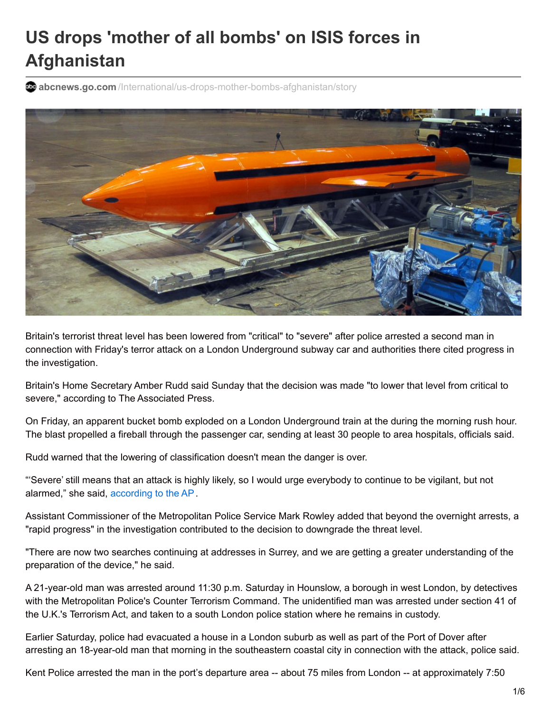## **US drops 'mother of all bombs' on ISIS forces in Afghanistan**

**abcnews.go.com**[/International/us-drops-mother-bombs-afghanistan/story](http://abcnews.go.com/International/us-drops-mother-bombs-afghanistan/story?id=46778853)



Britain's terrorist threat level has been lowered from "critical" to "severe" after police arrested a second man in connection with Friday's terror attack on a London Underground subway car and authorities there cited progress in the investigation.

Britain's Home Secretary Amber Rudd said Sunday that the decision was made "to lower that level from critical to severe," according to The Associated Press.

On Friday, an apparent bucket bomb exploded on a London Underground train at the during the morning rush hour. The blast propelled a fireball through the passenger car, sending at least 30 people to area hospitals, officials said.

Rudd warned that the lowering of classification doesn't mean the danger is over.

"'Severe' still means that an attack is highly likely, so I would urge everybody to continue to be vigilant, but not alarmed," she said, [according](https://www.apnews.com/079e907d81d14e7ca56eb5279f285f71) to the AP.

Assistant Commissioner of the Metropolitan Police Service Mark Rowley added that beyond the overnight arrests, a "rapid progress" in the investigation contributed to the decision to downgrade the threat level.

"There are now two searches continuing at addresses in Surrey, and we are getting a greater understanding of the preparation of the device," he said.

A 21-year-old man was arrested around 11:30 p.m. Saturday in Hounslow, a borough in west London, by detectives with the Metropolitan Police's Counter Terrorism Command. The unidentified man was arrested under section 41 of the U.K.'s Terrorism Act, and taken to a south London police station where he remains in custody.

Earlier Saturday, police had evacuated a house in a London suburb as well as part of the Port of Dover after arresting an 18-year-old man that morning in the southeastern coastal city in connection with the attack, police said.

Kent Police arrested the man in the port's departure area -- about 75 miles from London -- at approximately 7:50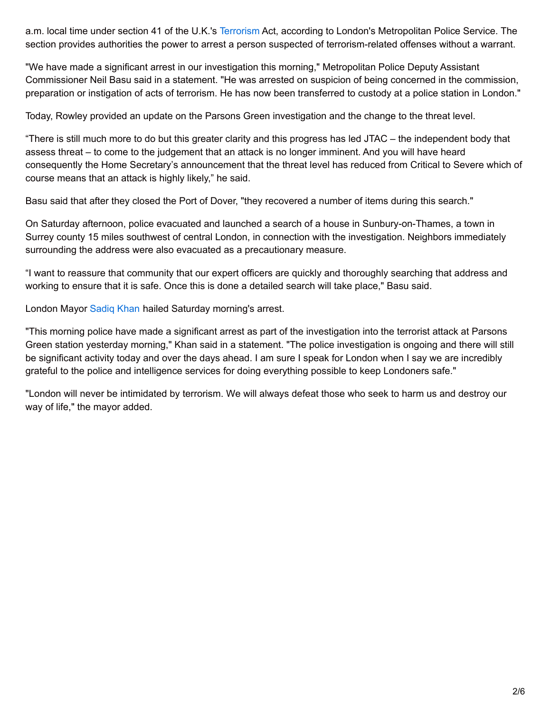a.m. local time under section 41 of the U.K.'s [Terrorism](http://abcnews.go.com/topics/news/world/terrorism.htm) Act, according to London's Metropolitan Police Service. The section provides authorities the power to arrest a person suspected of terrorism-related offenses without a warrant.

"We have made a significant arrest in our investigation this morning," Metropolitan Police Deputy Assistant Commissioner Neil Basu said in a statement. "He was arrested on suspicion of being concerned in the commission, preparation or instigation of acts of terrorism. He has now been transferred to custody at a police station in London."

Today, Rowley provided an update on the Parsons Green investigation and the change to the threat level.

"There is still much more to do but this greater clarity and this progress has led JTAC – the independent body that assess threat – to come to the judgement that an attack is no longer imminent. And you will have heard consequently the Home Secretary's announcement that the threat level has reduced from Critical to Severe which of course means that an attack is highly likely," he said.

Basu said that after they closed the Port of Dover, "they recovered a number of items during this search."

On Saturday afternoon, police evacuated and launched a search of a house in Sunbury-on-Thames, a town in Surrey county 15 miles southwest of central London, in connection with the investigation. Neighbors immediately surrounding the address were also evacuated as a precautionary measure.

"I want to reassure that community that our expert officers are quickly and thoroughly searching that address and working to ensure that it is safe. Once this is done a detailed search will take place," Basu said.

London Mayor [Sadiq](http://abcnews.go.com/topics/news/world/mayor-sadiq-khan.htm) Khan hailed Saturday morning's arrest.

"This morning police have made a significant arrest as part of the investigation into the terrorist attack at Parsons Green station yesterday morning," Khan said in a statement. "The police investigation is ongoing and there will still be significant activity today and over the days ahead. I am sure I speak for London when I say we are incredibly grateful to the police and intelligence services for doing everything possible to keep Londoners safe."

"London will never be intimidated by terrorism. We will always defeat those who seek to harm us and destroy our way of life," the mayor added.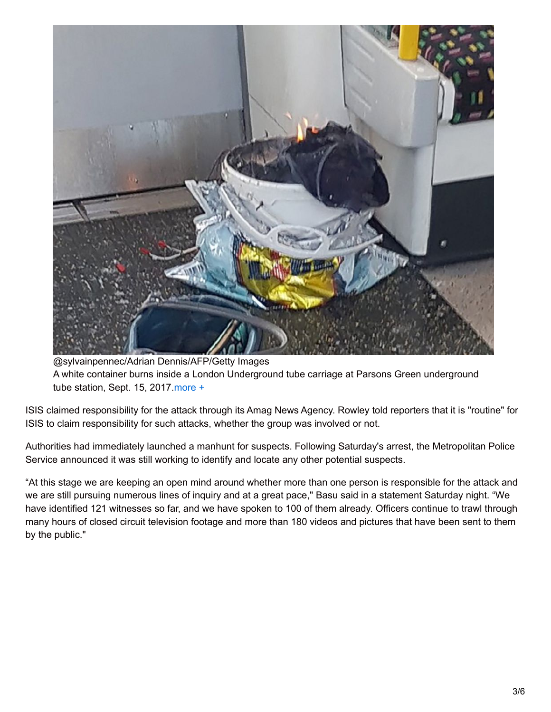

@sylvainpennec/Adrian Dennis/AFP/Getty Images A white container burns inside a London Underground tube carriage at Parsons Green underground tube station, Sept. 15, 2017.more +

ISIS claimed responsibility for the attack through its Amag News Agency. Rowley told reporters that it is "routine" for ISIS to claim responsibility for such attacks, whether the group was involved or not.

Authorities had immediately launched a manhunt for suspects. Following Saturday's arrest, the Metropolitan Police Service announced it was still working to identify and locate any other potential suspects.

"At this stage we are keeping an open mind around whether more than one person is responsible for the attack and we are still pursuing numerous lines of inquiry and at a great pace," Basu said in a statement Saturday night. "We have identified 121 witnesses so far, and we have spoken to 100 of them already. Officers continue to trawl through many hours of closed circuit television footage and more than 180 videos and pictures that have been sent to them by the public."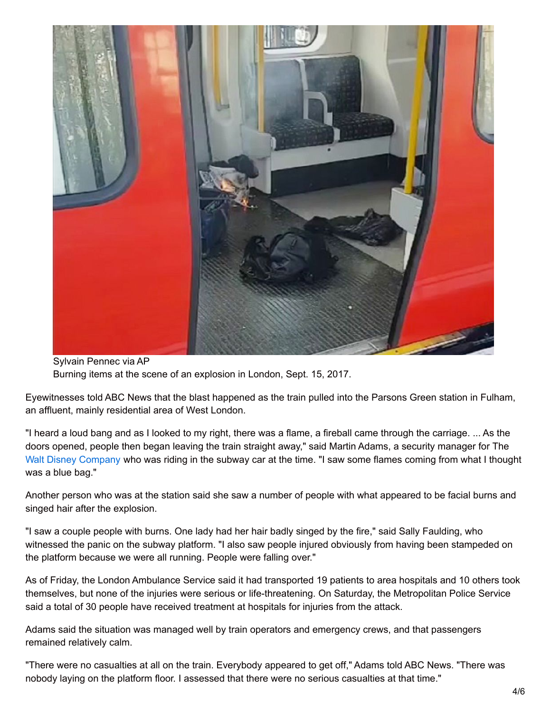

Sylvain Pennec via AP Burning items at the scene of an explosion in London, Sept. 15, 2017.

Eyewitnesses told ABC News that the blast happened as the train pulled into the Parsons Green station in Fulham, an affluent, mainly residential area of West London.

"I heard a loud bang and as I looked to my right, there was a flame, a fireball came through the carriage. ... As the doors opened, people then began leaving the train straight away," said Martin Adams, a security manager for The Walt Disney [Company](http://abcnews.go.com/topics/business/companies/walt-disney.htm) who was riding in the subway car at the time. "I saw some flames coming from what I thought was a blue bag."

Another person who was at the station said she saw a number of people with what appeared to be facial burns and singed hair after the explosion.

"I saw a couple people with burns. One lady had her hair badly singed by the fire," said Sally Faulding, who witnessed the panic on the subway platform. "I also saw people injured obviously from having been stampeded on the platform because we were all running. People were falling over."

As of Friday, the London Ambulance Service said it had transported 19 patients to area hospitals and 10 others took themselves, but none of the injuries were serious or life-threatening. On Saturday, the Metropolitan Police Service said a total of 30 people have received treatment at hospitals for injuries from the attack.

Adams said the situation was managed well by train operators and emergency crews, and that passengers remained relatively calm.

"There were no casualties at all on the train. Everybody appeared to get off," Adams told ABC News. "There was nobody laying on the platform floor. I assessed that there were no serious casualties at that time."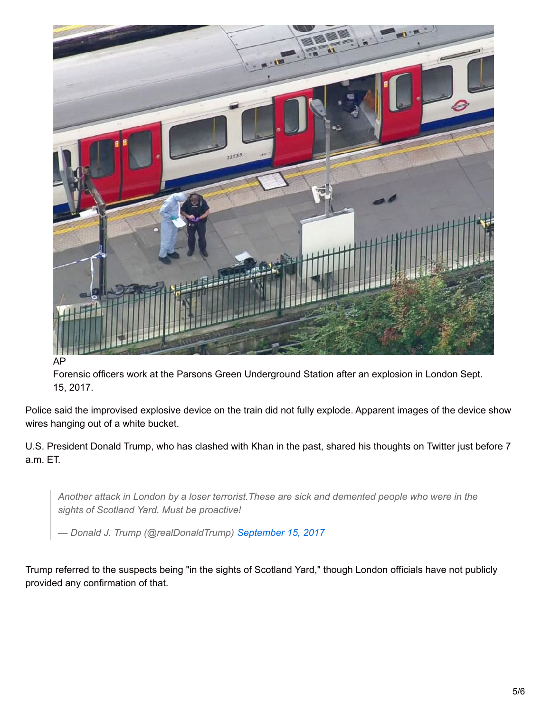

## AP

Forensic officers work at the Parsons Green Underground Station after an explosion in London Sept. 15, 2017.

Police said the improvised explosive device on the train did not fully explode. Apparent images of the device show wires hanging out of a white bucket.

U.S. President Donald Trump, who has clashed with Khan in the past, shared his thoughts on Twitter just before 7 a.m. ET.

*Another attack in London by a loser terrorist.These are sick and demented people who were in the sights of Scotland Yard. Must be proactive!*

*— Donald J. Trump (@realDonaldTrump) [September](https://twitter.com/realDonaldTrump/status/908642277987356673) 15, 2017*

Trump referred to the suspects being "in the sights of Scotland Yard," though London officials have not publicly provided any confirmation of that.